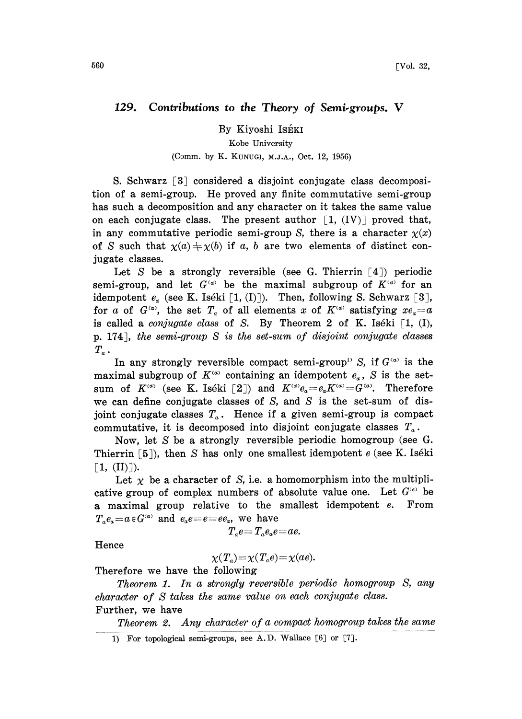## 129. Contributions to the Theory of Semi-groups. V

By Kiyoshi Iséki

## Kobe University

## (Comm. by K. KUNUGI, M.J.A., Oct. 12, 1956)

S. Schwarz [3] considered a disjoint conjugate class decomposition of a semi-group. He proved any finite commutative semi-group has such a decomposition and any character on it takes the same value on each conjugate class. The present author  $[1, (IV)]$  proved that, in any commutative periodic semi-group S, there is a character  $\chi(x)$ of S such that  $\chi(a) \neq \chi(b)$  if a, b are two elements of distinct conjugate classes.

Let S be a strongly reversible (see G. Thierrin  $\lceil 4 \rceil$ ) periodic semi-group, and let  $G^{(a)}$  be the maximal subgroup of  $K^{(a)}$  for an idempotent  $e_a$  (see K. Iséki [1, (I)]). Then, following S. Schwarz [3], for a of  $G^{\alpha}$ , the set  $T_a$  of all elements x of  $K^{\alpha}$  satisfying  $xe_a=a$ is called a *conjugate class* of S. By Theorem 2 of K. Iséki  $[1, (I),$ p. 174J, the semi-group S is the set-sum of disjoint conjugate classes  $T_a$ .

In any strongly reversible compact semi-group<sup>13</sup> S, if  $G^{(\alpha)}$  is the maximal subgroup of  $K^{(\alpha)}$  containing an idempotent  $e_{\alpha}$ , S is the setsum of  $K^{(a)}$  (see K. Iséki [2]) and  $K^{(a)}e_a=e_aK^{(a)}=G^{(a)}$ . Therefore we can define conjugate classes of  $S$ , and  $S$  is the set-sum of disjoint conjugate classes  $T_a$ . Hence if a given semi-group is compact commutative, it is decomposed into disjoint conjugate classes  $T_a$ .

Now, let S be a strongly reversible periodic homogroup (see G. Thierrin  $\lceil 5 \rceil$ ), then S has only one smallest idempotent e (see K. Iséki  $\lceil 1, (\text{II}) \rceil$ ).

Let  $\chi$  be a character of S, i.e. a homomorphism into the multiplicative group of complex numbers of absolute value one. Let  $G^{(e)}$  be a maximal group relative to the smallest idempotent e. From  $T_a e_a = a \in G^{(a)}$  and  $e_a e = e = e e_a$ , we have

$$
T_{\scriptscriptstyle a}e\!=\!T_{\scriptscriptstyle a}e_{\scriptscriptstyle a}e\!=\!ae.
$$

Hence

$$
\chi(T_a) = \chi(T_a e) = \chi(ae).
$$

Therefore we have the following

Theorem 1. In a strongly reversible periodic homogroup S, any character of S takes the same value on each conjugate class. Further, we have

Theorem 2. Any character of a compact homogroup takes the same

<sup>1)</sup> For topological semi-groups, see A.D. Wallace  $[6]$  or  $[7]$ .